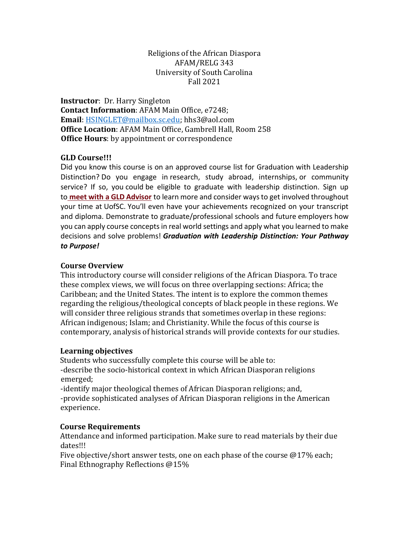#### Religions of the African Diaspora AFAM/RELG 343 University of South Carolina Fall 2021

**Instructor**: Dr. Harry Singleton **Contact Information**: AFAM Main Office, e7248; **Email**: [HSINGLET@mailbox.sc.edu;](mailto:HSINGLET@mailbox.sc.edu) hhs3@aol.com **Office Location**: AFAM Main Office, Gambrell Hall, Room 258 **Office Hours**: by appointment or correspondence

## **GLD Course!!!**

Did you know this course is on an approved course list for Graduation with Leadership Distinction? Do you engage in research, study abroad, internships, or community service? If so, you could be eligible to graduate with leadership distinction. Sign up to**meet with [a GLD Advisor](https://sc.campus.eab.com/)** to learn more and consider ways to get involved throughout your time at UofSC. You'll even have your achievements recognized on your transcript and diploma. Demonstrate to graduate/professional schools and future employers how you can apply course concepts in real world settings and apply what you learned to make decisions and solve problems! *Graduation with Leadership Distinction: Your Pathway to Purpose!*

### **Course Overview**

This introductory course will consider religions of the African Diaspora. To trace these complex views, we will focus on three overlapping sections: Africa; the Caribbean; and the United States. The intent is to explore the common themes regarding the religious/theological concepts of black people in these regions. We will consider three religious strands that sometimes overlap in these regions: African indigenous; Islam; and Christianity. While the focus of this course is contemporary, analysis of historical strands will provide contexts for our studies.

### **Learning objectives**

Students who successfully complete this course will be able to: -describe the socio-historical context in which African Diasporan religions emerged;

-identify major theological themes of African Diasporan religions; and, -provide sophisticated analyses of African Diasporan religions in the American experience.

### **Course Requirements**

Attendance and informed participation. Make sure to read materials by their due dates!!!

Five objective/short answer tests, one on each phase of the course @17% each; Final Ethnography Reflections @15%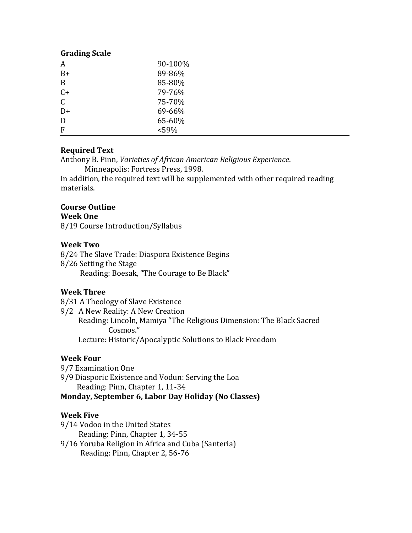| 90-100% |
|---------|
| 89-86%  |
| 85-80%  |
| 79-76%  |
| 75-70%  |
| 69-66%  |
| 65-60%  |
| $<$ 59% |
|         |

# **Required Text**

Anthony B. Pinn, *Varieties of African American Religious Experience*.

Minneapolis: Fortress Press, 1998.

In addition, the required text will be supplemented with other required reading materials.

# **Course Outline**

## **Week One**

8/19 Course Introduction/Syllabus

## **Week Two**

8/24 The Slave Trade: Diaspora Existence Begins 8/26 Setting the Stage Reading: Boesak, "The Courage to Be Black"

# **Week Three**

8/31 A Theology of Slave Existence

9/2 A New Reality: A New Creation

 Reading: Lincoln, Mamiya "The Religious Dimension: The Black Sacred Cosmos."

Lecture: Historic/Apocalyptic Solutions to Black Freedom

# **Week Four**

9/7 Examination One

9/9 Diasporic Existence and Vodun: Serving the Loa Reading: Pinn, Chapter 1, 11-34

**Monday, September 6, Labor Day Holiday (No Classes)**

### **Week Five**

9/14 Vodoo in the United States

Reading: Pinn, Chapter 1, 34-55

9/16 Yoruba Religion in Africa and Cuba (Santeria) Reading: Pinn, Chapter 2, 56-76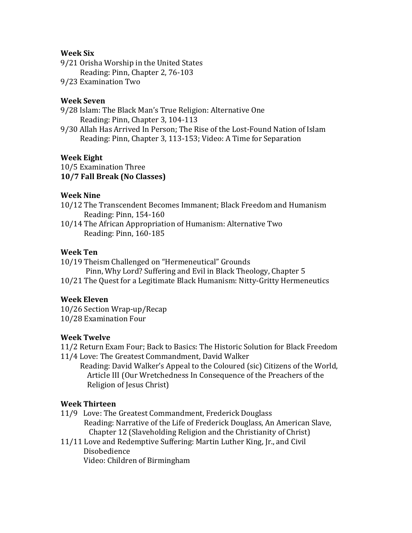### **Week Six**

9/21 Orisha Worship in the United States Reading: Pinn, Chapter 2, 76-103

9/23 Examination Two

#### **Week Seven**

9/28 Islam: The Black Man's True Religion: Alternative One Reading: Pinn, Chapter 3, 104-113

9/30 Allah Has Arrived In Person; The Rise of the Lost-Found Nation of Islam Reading: Pinn, Chapter 3, 113-153; Video: A Time for Separation

#### **Week Eight**

10/5 Examination Three **10/7 Fall Break (No Classes)** 

#### **Week Nine**

- 10/12 The Transcendent Becomes Immanent; Black Freedom and Humanism Reading: Pinn, 154-160
- 10/14 The African Appropriation of Humanism: Alternative Two Reading: Pinn, 160-185

#### **Week Ten**

10/19 Theism Challenged on "Hermeneutical" Grounds

Pinn, Why Lord? Suffering and Evil in Black Theology, Chapter 5

10/21 The Quest for a Legitimate Black Humanism: Nitty-Gritty Hermeneutics

### **Week Eleven**

10/26 Section Wrap-up/Recap 10/28 Examination Four

#### **Week Twelve**

11/2 Return Exam Four; Back to Basics: The Historic Solution for Black Freedom 11/4 Love: The Greatest Commandment, David Walker

 Reading: David Walker's Appeal to the Coloured (sic) Citizens of the World, Article III (Our Wretchedness In Consequence of the Preachers of the Religion of Jesus Christ)

### **Week Thirteen**

- 11/9 Love: The Greatest Commandment, Frederick Douglass Reading: Narrative of the Life of Frederick Douglass, An American Slave, Chapter 12 (Slaveholding Religion and the Christianity of Christ)
- 11/11 Love and Redemptive Suffering: Martin Luther King, Jr., and Civil Disobedience

Video: Children of Birmingham